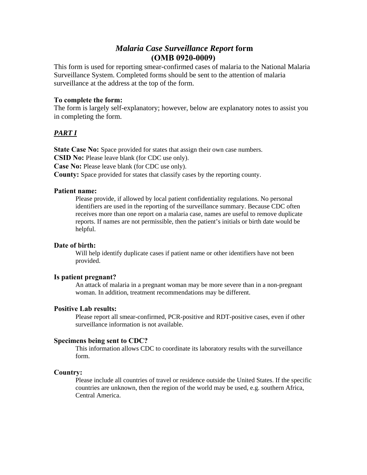# *Malaria Case Surveillance Report* **form (OMB 0920-0009)**

This form is used for reporting smear-confirmed cases of malaria to the National Malaria Surveillance System. Completed forms should be sent to the attention of malaria surveillance at the address at the top of the form.

### **To complete the form:**

The form is largely self-explanatory; however, below are explanatory notes to assist you in completing the form.

## *PART I*

**State Case No:** Space provided for states that assign their own case numbers.

**CSID No:** Please leave blank (for CDC use only).

**Case No:** Please leave blank (for CDC use only).

**County:** Space provided for states that classify cases by the reporting county.

#### **Patient name:**

Please provide, if allowed by local patient confidentiality regulations. No personal identifiers are used in the reporting of the surveillance summary. Because CDC often receives more than one report on a malaria case, names are useful to remove duplicate reports. If names are not permissible, then the patient's initials or birth date would be helpful.

### **Date of birth:**

 provided. Will help identify duplicate cases if patient name or other identifiers have not been

#### **Is patient pregnant?**

An attack of malaria in a pregnant woman may be more severe than in a non-pregnant woman. In addition, treatment recommendations may be different.

#### **Positive Lab results:**

Please report all smear-confirmed, PCR-positive and RDT-positive cases, even if other surveillance information is not available.

### **Specimens being sent to CDC?**

This information allows CDC to coordinate its laboratory results with the surveillance form.

#### **Country:**

Please include all countries of travel or residence outside the United States. If the specific countries are unknown, then the region of the world may be used, e.g. southern Africa, Central America.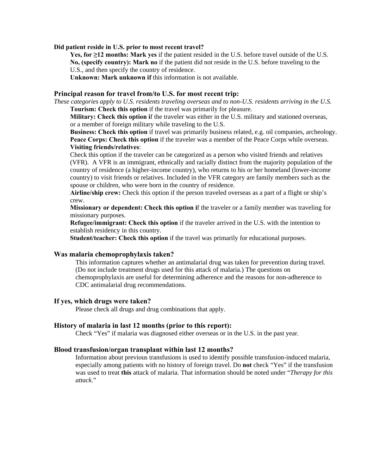#### **Did patient reside in U.S. prior to most recent travel?**

**Yes, for ≥12 months: Mark yes** if the patient resided in the U.S. before travel outside of the U.S. **No, (specify country): Mark no** if the patient did not reside in the U.S. before traveling to the U.S., and then specify the country of residence.

**Unknown: Mark unknown if** this information is not available.

#### **Principal reason for travel from/to U.S. for most recent trip:**

*These categories apply to U.S. residents traveling overseas and to non-U.S. residents arriving in the U.S.*  **Tourism: Check this option** if the travel was primarily for pleasure.

**Military: Check this option i**f the traveler was either in the U.S. military and stationed overseas, or a member of foreign military while traveling to the U.S.

**Business: Check this option** if travel was primarily business related, e.g. oil companies, archeology. **Peace Corps: Check this option** if the traveler was a member of the Peace Corps while overseas. **Visiting friends/relatives**:

Check this option if the traveler can be categorized as a person who visited friends and relatives (VFR). A VFR is an immigrant, ethnically and racially distinct from the majority population of the country of residence (a higher-income country), who returns to his or her homeland (lower-income country) to visit friends or relatives. Included in the VFR category are family members such as the spouse or children, who were born in the country of residence.

**Airline/ship crew:** Check this option if the person traveled overseas as a part of a flight or ship's crew.

**Missionary or dependent: Check this option i**f the traveler or a family member was traveling for missionary purposes.

**Refugee/immigrant: Check this option** if the traveler arrived in the U.S. with the intention to establish residency in this country.

**Student/teacher: Check this option** if the travel was primarily for educational purposes.

#### **Was malaria chemoprophylaxis taken?**

This information captures whether an antimalarial drug was taken for prevention during travel. (Do not include treatment drugs used for this attack of malaria.) The questions on chemoprophylaxis are useful for determining adherence and the reasons for non-adherence to CDC antimalarial drug recommendations.

#### **If yes, which drugs were taken?**

Please check all drugs and drug combinations that apply.

#### **History of malaria in last 12 months (prior to this report):**

Check "Yes" if malaria was diagnosed either overseas or in the U.S. in the past year.

#### **Blood transfusion/organ transplant within last 12 months?**

Information about previous transfusions is used to identify possible transfusion-induced malaria, especially among patients with no history of foreign travel. Do **not** check "Yes" if the transfusion was used to treat **this** attack of malaria. That information should be noted under "*Therapy for this attack.*"